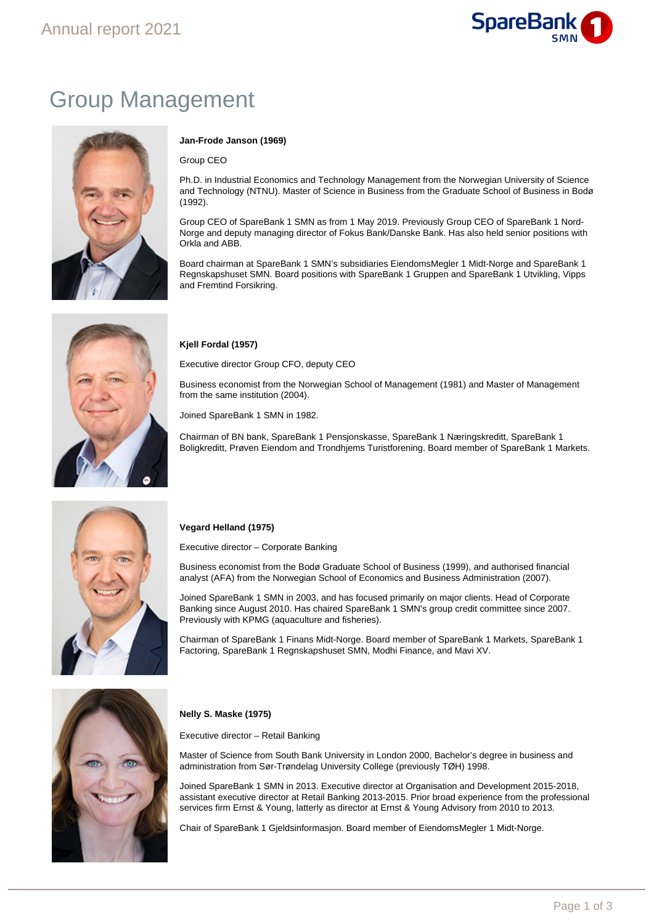

# Group Management



# **Jan-Frode Janson (1969)**

Group CEO

Ph.D. in Industrial Economics and Technology Management from the Norwegian University of Science and Technology (NTNU). Master of Science in Business from the Graduate School of Business in Bodø (1992).

Group CEO of SpareBank 1 SMN as from 1 May 2019. Previously Group CEO of SpareBank 1 Nord-Norge and deputy managing director of Fokus Bank/Danske Bank. Has also held senior positions with Orkla and ABB.

Board chairman at SpareBank 1 SMN's subsidiaries EiendomsMegler 1 Midt-Norge and SpareBank 1 Regnskapshuset SMN. Board positions with SpareBank 1 Gruppen and SpareBank 1 Utvikling, Vipps and Fremtind Forsikring.

# **Kjell Fordal (1957)**

Executive director Group CFO, deputy CEO

Business economist from the Norwegian School of Management (1981) and Master of Management from the same institution (2004).

Joined SpareBank 1 SMN in 1982.

Chairman of BN bank, SpareBank 1 Pensjonskasse, SpareBank 1 Næringskreditt, SpareBank 1 Boligkreditt, Prøven Eiendom and Trondhjems Turistforening. Board member of SpareBank 1 Markets.



# **Vegard Helland (1975)**

Executive director – Corporate Banking

Business economist from the Bodø Graduate School of Business (1999), and authorised financial analyst (AFA) from the Norwegian School of Economics and Business Administration (2007).

Joined SpareBank 1 SMN in 2003, and has focused primarily on major clients. Head of Corporate Banking since August 2010. Has chaired SpareBank 1 SMN's group credit committee since 2007. Previously with KPMG (aquaculture and fisheries).

Chairman of SpareBank 1 Finans Midt-Norge. Board member of SpareBank 1 Markets, SpareBank 1 Factoring, SpareBank 1 Regnskapshuset SMN, Modhi Finance, and Mavi XV.



# **Nelly S. Maske (1975)**

Executive director – Retail Banking

Master of Science from South Bank University in London 2000, Bachelor's degree in business and administration from Sør-Trøndelag University College (previously TØH) 1998.

Joined SpareBank 1 SMN in 2013. Executive director at Organisation and Development 2015-2018, assistant executive director at Retail Banking 2013-2015. Prior broad experience from the professional services firm Ernst & Young, latterly as director at Ernst & Young Advisory from 2010 to 2013.

Chair of SpareBank 1 Gjeldsinformasjon. Board member of EiendomsMegler 1 Midt-Norge.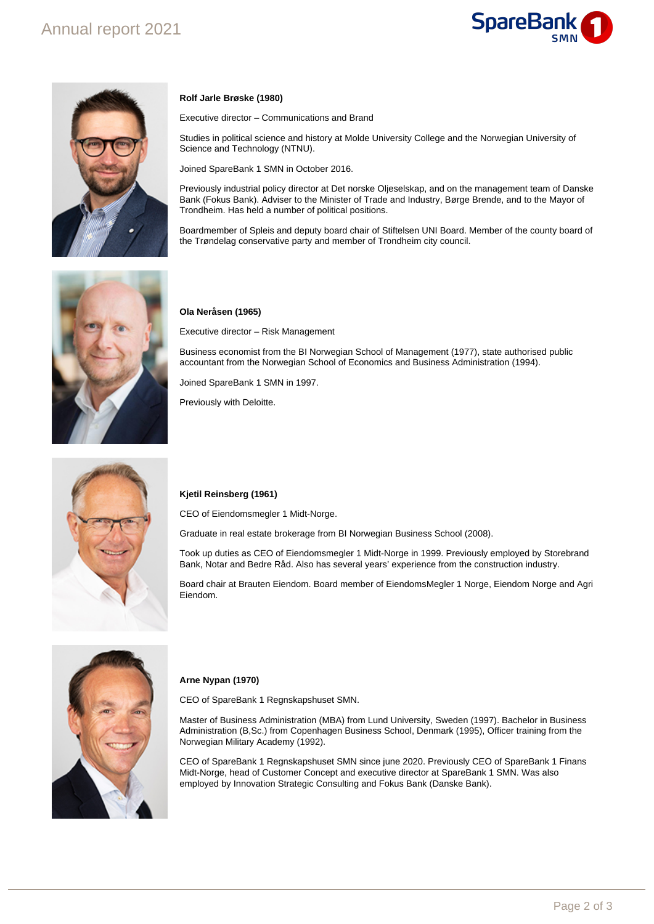



# **Rolf Jarle Brøske (1980)**

Executive director – Communications and Brand

Studies in political science and history at Molde University College and the Norwegian University of Science and Technology (NTNU).

Joined SpareBank 1 SMN in October 2016.

Previously industrial policy director at Det norske Oljeselskap, and on the management team of Danske Bank (Fokus Bank). Adviser to the Minister of Trade and Industry, Børge Brende, and to the Mayor of Trondheim. Has held a number of political positions.

Boardmember of Spleis and deputy board chair of Stiftelsen UNI Board. Member of the county board of the Trøndelag conservative party and member of Trondheim city council.



#### **Ola Neråsen (1965)**

Executive director – Risk Management

Business economist from the BI Norwegian School of Management (1977), state authorised public accountant from the Norwegian School of Economics and Business Administration (1994).

Joined SpareBank 1 SMN in 1997.

Previously with Deloitte.



#### **Kjetil Reinsberg (1961)**

CEO of Eiendomsmegler 1 Midt-Norge.

Graduate in real estate brokerage from BI Norwegian Business School (2008).

Took up duties as CEO of Eiendomsmegler 1 Midt-Norge in 1999. Previously employed by Storebrand Bank, Notar and Bedre Råd. Also has several years' experience from the construction industry.

Board chair at Brauten Eiendom. Board member of EiendomsMegler 1 Norge, Eiendom Norge and Agri Eiendom.



### **Arne Nypan (1970)**

CEO of SpareBank 1 Regnskapshuset SMN.

Master of Business Administration (MBA) from Lund University, Sweden (1997). Bachelor in Business Administration (B,Sc.) from Copenhagen Business School, Denmark (1995), Officer training from the Norwegian Military Academy (1992).

CEO of SpareBank 1 Regnskapshuset SMN since june 2020. Previously CEO of SpareBank 1 Finans Midt-Norge, head of Customer Concept and executive director at SpareBank 1 SMN. Was also employed by Innovation Strategic Consulting and Fokus Bank (Danske Bank).